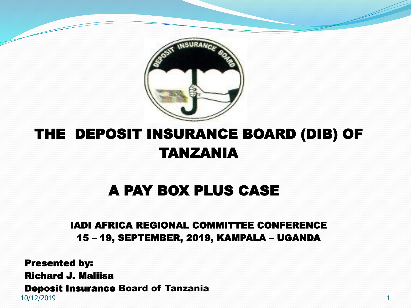

#### THE DEPOSIT INSURANCE BOARD (DIB) OF TANZANIA

#### A PAY BOX PLUS CASE

#### IADI AFRICA REGIONAL COMMITTEE CONFERENCE 15 – 19, SEPTEMBER, 2019, KAMPALA – UGANDA

10/12/2019 1 Presented by: Richard J. Maliisa Deposit Insurance Board of Tanzania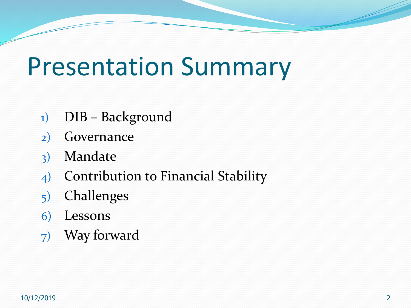## Presentation Summary

- 1) DIB Background
- 2) Governance
- 3) Mandate
- 4) Contribution to Financial Stability
- 5) Challenges
- 6) Lessons
- 7) Way forward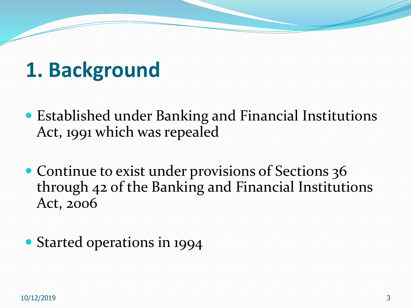### **1. Background**

- Established under Banking and Financial Institutions Act, 1991 which was repealed
- Continue to exist under provisions of Sections 36 through 42 of the Banking and Financial Institutions Act, 2006
- Started operations in 1994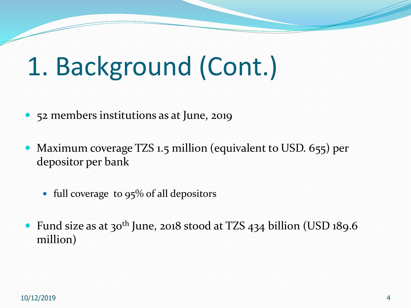# 1. Background (Cont.)

- 52 members institutions as at June, 2019
- Maximum coverage TZS 1.5 million (equivalent to USD. 655) per depositor per bank
	- full coverage to  $95\%$  of all depositors
- Fund size as at 30<sup>th</sup> June, 2018 stood at TZS 434 billion (USD 189.6) million)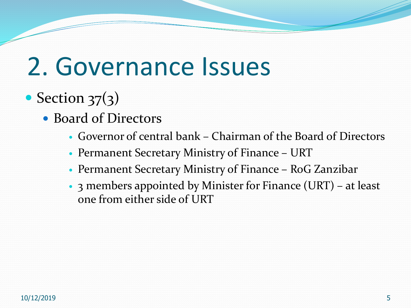### 2. Governance Issues

### • Section  $37(3)$

- Board of Directors
	- Governor of central bank Chairman of the Board of Directors
	- Permanent Secretary Ministry of Finance URT
	- Permanent Secretary Ministry of Finance RoG Zanzibar
	- 3 members appointed by Minister for Finance (URT) at least one from either side of URT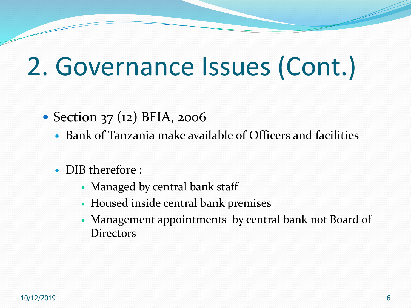## 2. Governance Issues (Cont.)

#### • Section 37 (12) BFIA, 2006

- Bank of Tanzania make available of Officers and facilities
- DIB therefore :
	- Managed by central bank staff
	- Housed inside central bank premises
	- Management appointments by central bank not Board of Directors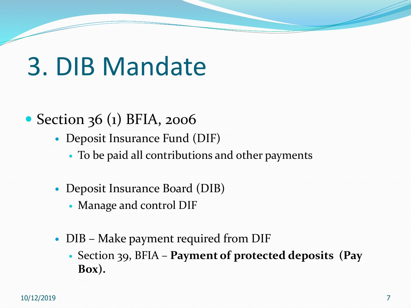## 3. DIB Mandate

- Section 36 (1) BFIA, 2006
	- Deposit Insurance Fund (DIF)
		- To be paid all contributions and other payments
	- Deposit Insurance Board (DIB)
		- Manage and control DIF
	- DIB Make payment required from DIF
		- Section 39, BFIA **Payment of protected deposits (Pay Box).**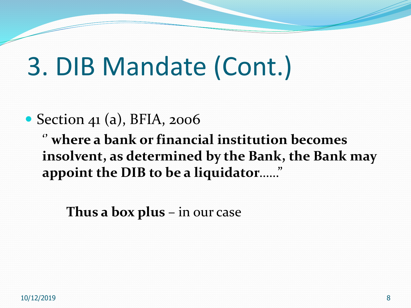## 3. DIB Mandate (Cont.)

#### • Section 41 (a), BFIA, 2006

'' **where a bank or financial institution becomes insolvent, as determined by the Bank, the Bank may appoint the DIB to be a liquidator**……"

**Thus a box plus** – in our case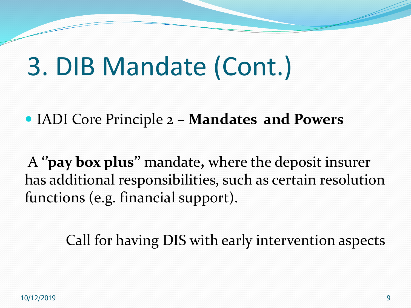## 3. DIB Mandate (Cont.)

IADI Core Principle 2 – **Mandates and Powers**

A **''pay box plus''** mandate**,** where the deposit insurer has additional responsibilities, such as certain resolution functions (e.g. financial support).

Call for having DIS with early intervention aspects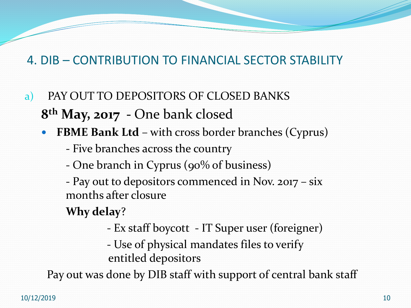#### 4. DIB – CONTRIBUTION TO FINANCIAL SECTOR STABILITY

- a) PAY OUT TO DEPOSITORS OF CLOSED BANKS **8 th May, 2017 -** One bank closed
	- **FBME Bank Ltd**  with cross border branches (Cyprus)
		- Five branches across the country
		- One branch in Cyprus (90% of business)
		- Pay out to depositors commenced in Nov. 2017 six months after closure

#### **Why delay**?

- Ex staff boycott IT Super user (foreigner)
- Use of physical mandates files to verify entitled depositors

Pay out was done by DIB staff with support of central bank staff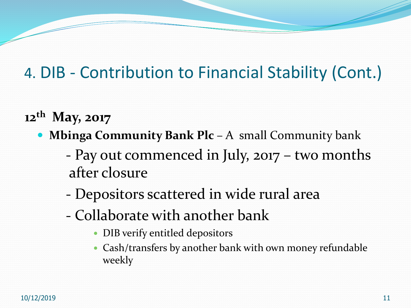### 4. DIB - Contribution to Financial Stability (Cont.)

- **12th May, 2017**
	- **Mbinga Community Bank Plc** A small Community bank
		- Pay out commenced in July, 2017 two months after closure
		- Depositors scattered in wide rural area
		- Collaborate with another bank
			- DIB verify entitled depositors
			- Cash/transfers by another bank with own money refundable weekly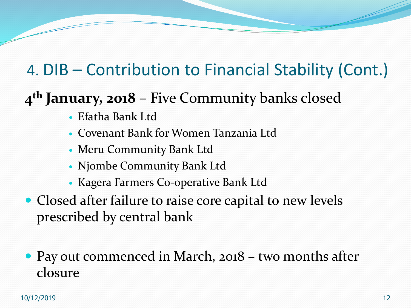### 4. DIB – Contribution to Financial Stability (Cont.)

#### **4 th January, 2018** – Five Community banks closed

- Efatha Bank Ltd
- Covenant Bank for Women Tanzania Ltd
- Meru Community Bank Ltd
- Njombe Community Bank Ltd
- Kagera Farmers Co-operative Bank Ltd
- Closed after failure to raise core capital to new levels prescribed by central bank
- Pay out commenced in March, 2018 two months after closure

10/12/2019 12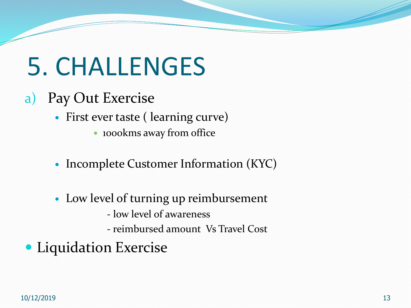## 5. CHALLENGES

- a) Pay Out Exercise
	- First ever taste ( learning curve)
		- 1000kms away from office
	- Incomplete Customer Information (KYC)
	- Low level of turning up reimbursement
		- low level of awareness
		- reimbursed amount Vs Travel Cost
- Liquidation Exercise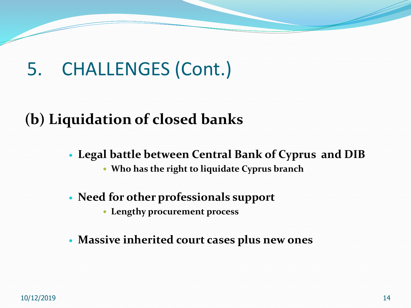### 5. CHALLENGES (Cont.)

#### **(b) Liquidation of closed banks**

- **Legal battle between Central Bank of Cyprus and DIB**
	- **Who has the right to liquidate Cyprus branch**
- **Need for other professionals support**
	- **Lengthy procurement process**
- **Massive inherited court cases plus new ones**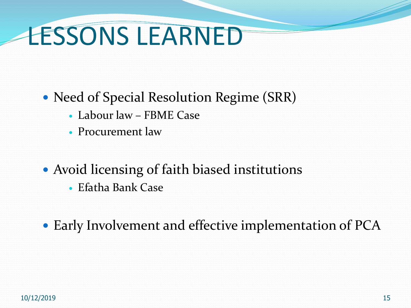# LESSONS LEARNED

- Need of Special Resolution Regime (SRR)
	- Labour law FBME Case
	- Procurement law
- Avoid licensing of faith biased institutions
	- Efatha Bank Case
- Early Involvement and effective implementation of PCA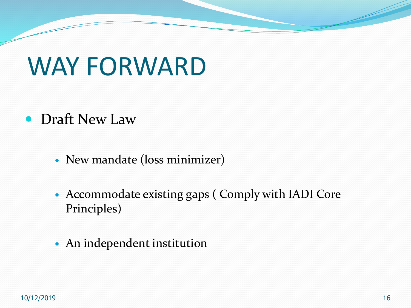## WAY FORWARD

- Draft New Law
	- New mandate (loss minimizer)
	- Accommodate existing gaps ( Comply with IADI Core Principles)
	- An independent institution